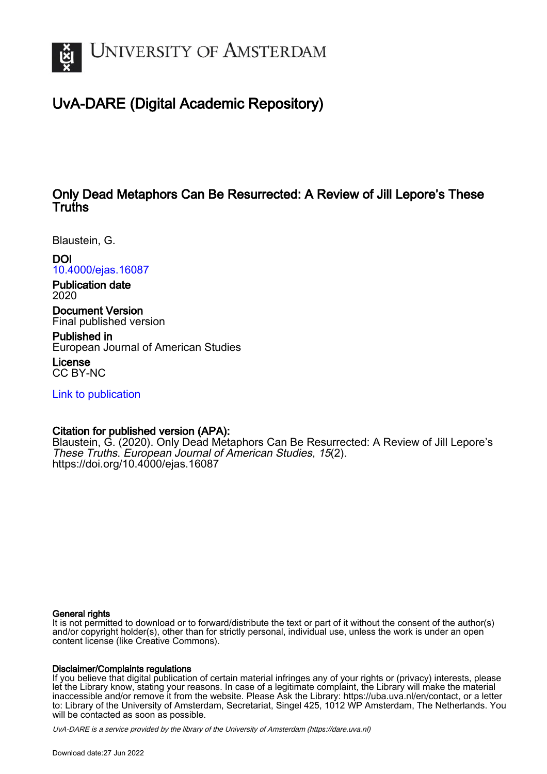

# UvA-DARE (Digital Academic Repository)

# Only Dead Metaphors Can Be Resurrected: A Review of Jill Lepore's These **Truths**

Blaustein, G.

DOI

[10.4000/ejas.16087](https://doi.org/10.4000/ejas.16087) Publication date

2020

Document Version Final published version

Published in European Journal of American Studies

License CC BY-NC

[Link to publication](https://dare.uva.nl/personal/pure/en/publications/only-dead-metaphors-can-be-resurrected-a-review-of-jill-lepores-these-truths(5117d66d-1d14-41a3-bd39-f08fc7e19a30).html)

# Citation for published version (APA):

Blaustein, G. (2020). Only Dead Metaphors Can Be Resurrected: A Review of Jill Lepore's These Truths. European Journal of American Studies, 15(2). <https://doi.org/10.4000/ejas.16087>

#### General rights

It is not permitted to download or to forward/distribute the text or part of it without the consent of the author(s) and/or copyright holder(s), other than for strictly personal, individual use, unless the work is under an open content license (like Creative Commons).

#### Disclaimer/Complaints regulations

If you believe that digital publication of certain material infringes any of your rights or (privacy) interests, please let the Library know, stating your reasons. In case of a legitimate complaint, the Library will make the material inaccessible and/or remove it from the website. Please Ask the Library: https://uba.uva.nl/en/contact, or a letter to: Library of the University of Amsterdam, Secretariat, Singel 425, 1012 WP Amsterdam, The Netherlands. You will be contacted as soon as possible.

UvA-DARE is a service provided by the library of the University of Amsterdam (http*s*://dare.uva.nl)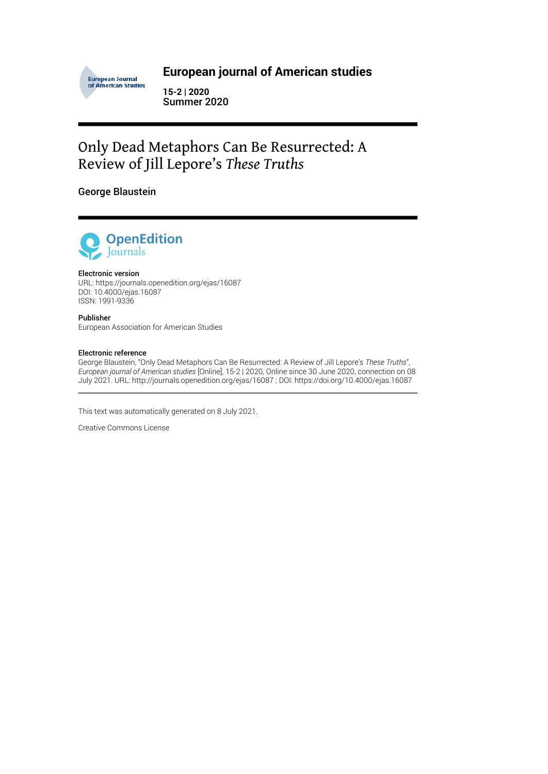

# **European journal of American studies**

**15-2 | 2020** Summer 2020

# Only Dead Metaphors Can Be Resurrected: A Review of Jill Lepore's *These Truths*

## George Blaustein



#### Electronic version

URL:<https://journals.openedition.org/ejas/16087> DOI: 10.4000/ejas.16087 ISSN: 1991-9336

Publisher European Association for American Studies

#### Electronic reference

George Blaustein, "Only Dead Metaphors Can Be Resurrected: A Review of Jill Lepore's *These Truths*", *European journal of American studies* [Online], 15-2 | 2020, Online since 30 June 2020, connection on 08 July 2021. URL: http://journals.openedition.org/ejas/16087 ; DOI: https://doi.org/10.4000/ejas.16087

This text was automatically generated on 8 July 2021.

Creative Commons License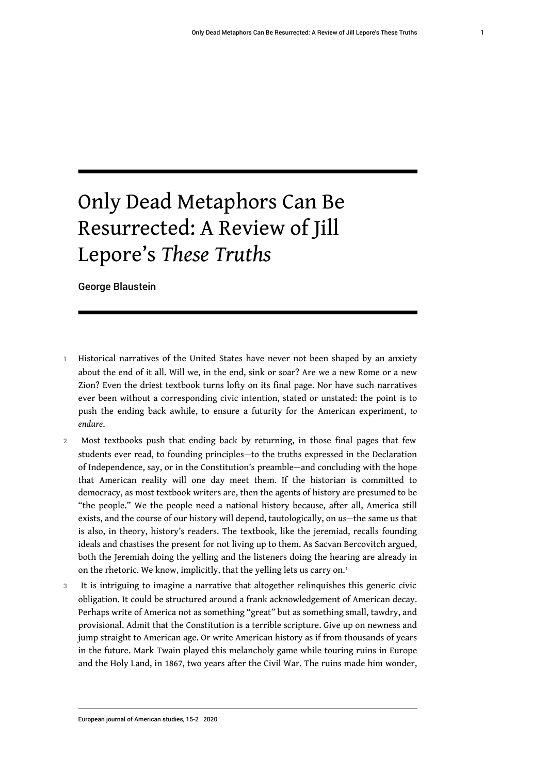# Only Dead Metaphors Can Be Resurrected: A Review of Jill Lepore's *These Truths*

George Blaustein

- 1 Historical narratives of the United States have never not been shaped by an anxiety about the end of it all. Will we, in the end, sink or soar? Are we a new Rome or a new Zion? Even the driest textbook turns lofty on its final page. Nor have such narratives ever been without a corresponding civic intention, stated or unstated: the point is to push the ending back awhile, to ensure a futurity for the American experiment, *to endure*.
- 2 Most textbooks push that ending back by returning, in those final pages that few students ever read, to founding principles—to the truths expressed in the Declaration of Independence, say, or in the Constitution's preamble—and concluding with the hope that American reality will one day meet them. If the historian is committed to democracy, as most textbook writers are, then the agents of history are presumed to be "the people." We the people need a national history because, after all, America still exists, and the course of our history will depend, tautologically, on *us*—the same us that is also, in theory, history's readers. The textbook, like the jeremiad, recalls founding ideals and chastises the present for not living up to them. As Sacvan Bercovitch argued, both the Jeremiah doing the yelling and the listeners doing the hearing are already in on the rhetoric. We know, implicitly, that the yelling lets us carry on.<sup>[1](#page-17-0)</sup>
- <span id="page-2-0"></span>3 It is intriguing to imagine a narrative that altogether relinquishes this generic civic obligation. It could be structured around a frank acknowledgement of American decay. Perhaps write of America not as something "great" but as something small, tawdry, and provisional. Admit that the Constitution is a terrible scripture. Give up on newness and jump straight to American age. Or write American history as if from thousands of years in the future. Mark Twain played this melancholy game while touring ruins in Europe and the Holy Land, in 1867, two years after the Civil War. The ruins made him wonder,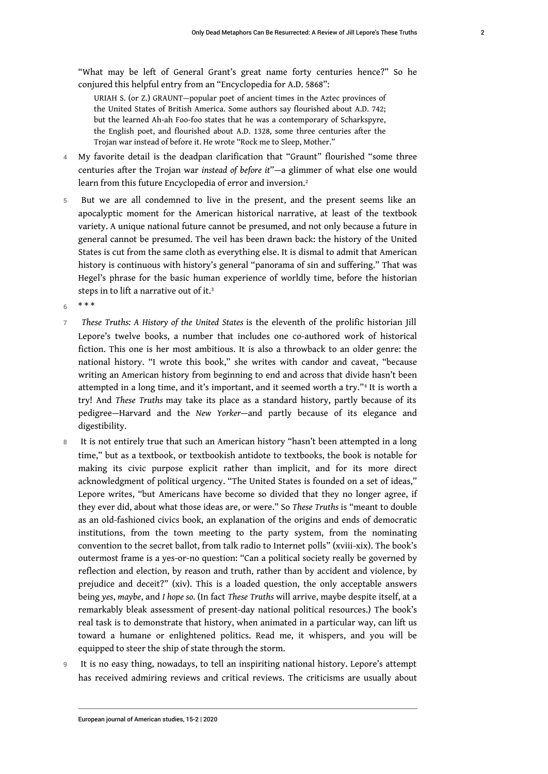"What may be left of General Grant's great name forty centuries hence?" So he conjured this helpful entry from an "Encyclopedia for A.D. 5868":

<span id="page-3-0"></span>URIAH S. (or Z.) GRAUNT—popular poet of ancient times in the Aztec provinces of the United States of British America. Some authors say flourished about A.D. 742; but the learned Ah-ah Foo-foo states that he was a contemporary of Scharkspyre, the English poet, and flourished about A.D. 1328, some three centuries after the Trojan war instead of before it. He wrote "Rock me to Sleep, Mother."

- 4 My favorite detail is the deadpan clarification that "Graunt" flourished "some three centuries after the Trojan war *instead of before it*"—a glimmer of what else one would learn from this future Encyclopedia of error and inversion.<sup>[2](#page-18-0)</sup>
- 5 But we are all condemned to live in the present, and the present seems like an apocalyptic moment for the American historical narrative, at least of the textbook variety. A unique national future cannot be presumed, and not only because a future in general cannot be presumed. The veil has been drawn back: the history of the United States is cut from the same cloth as everything else. It is dismal to admit that American history is continuous with history's general "panorama of sin and suffering." That was Hegel's phrase for the basic human experience of worldly time, before the historian steps in to lift a narrative out of it.[3](#page-18-1)

<span id="page-3-1"></span> $6 + * * *$ 

- <sup>7</sup>*These Truths: A History of the United States* is the eleventh of the prolific historian Jill Lepore's twelve books, a number that includes one co-authored work of historical fiction. This one is her most ambitious. It is also a throwback to an older genre: the national history. "I wrote this book," she writes with candor and caveat, "because writing an American history from beginning to end and across that divide hasn't been attempted in a long time, and it's important, and it seemed worth a try."[4](#page-18-2) It is worth a try! And *These Truths* may take its place as a standard history, partly because of its pedigree—Harvard and the *New Yorker*—and partly because of its elegance and digestibility.
- <span id="page-3-2"></span>8 It is not entirely true that such an American history "hasn't been attempted in a long time," but as a textbook, or textbookish antidote to textbooks, the book is notable for making its civic purpose explicit rather than implicit, and for its more direct acknowledgment of political urgency. "The United States is founded on a set of ideas," Lepore writes, "but Americans have become so divided that they no longer agree, if they ever did, about what those ideas are, or were." So *These Truths* is "meant to double as an old-fashioned civics book, an explanation of the origins and ends of democratic institutions, from the town meeting to the party system, from the nominating convention to the secret ballot, from talk radio to Internet polls" (xviii-xix). The book's outermost frame is a yes-or-no question: "Can a political society really be governed by reflection and election, by reason and truth, rather than by accident and violence, by prejudice and deceit?" (xiv). This is a loaded question, the only acceptable answers being *yes*, *maybe*, and *I hope so.* (In fact *These Truths* will arrive, maybe despite itself, at a remarkably bleak assessment of present-day national political resources.) The book's real task is to demonstrate that history, when animated in a particular way, can lift us toward a humane or enlightened politics. Read me, it whispers, and you will be equipped to steer the ship of state through the storm.
- 9 It is no easy thing, nowadays, to tell an inspiriting national history. Lepore's attempt has received admiring reviews and critical reviews. The criticisms are usually about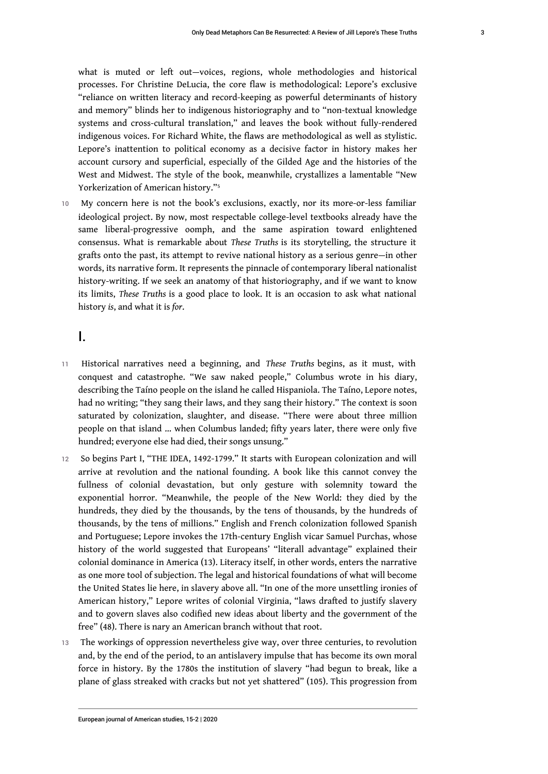what is muted or left out—voices, regions, whole methodologies and historical processes. For Christine DeLucia, the core flaw is methodological: Lepore's exclusive "reliance on written literacy and record-keeping as powerful determinants of history and memory" blinds her to indigenous historiography and to "non-textual knowledge systems and cross-cultural translation," and leaves the book without fully-rendered indigenous voices. For Richard White, the flaws are methodological as well as stylistic. Lepore's inattention to political economy as a decisive factor in history makes her account cursory and superficial, especially of the Gilded Age and the histories of the West and Midwest. The style of the book, meanwhile, crystallizes a lamentable "New Yorkerization of American history."[5](#page-18-3)

<span id="page-4-0"></span>10 My concern here is not the book's exclusions, exactly, nor its more-or-less familiar ideological project. By now, most respectable college-level textbooks already have the same liberal-progressive oomph, and the same aspiration toward enlightened consensus. What is remarkable about *These Truths* is its storytelling, the structure it grafts onto the past, its attempt to revive national history as a serious genre—in other words, its narrative form. It represents the pinnacle of contemporary liberal nationalist history-writing. If we seek an anatomy of that historiography, and if we want to know its limits, *These Truths* is a good place to look. It is an occasion to ask what national history *is*, and what it is *for*.

## I.

- <sup>11</sup>Historical narratives need a beginning, and *These Truths* begins, as it must, with conquest and catastrophe. "We saw naked people," Columbus wrote in his diary, describing the Taíno people on the island he called Hispaniola. The Taíno, Lepore notes, had no writing; "they sang their laws, and they sang their history." The context is soon saturated by colonization, slaughter, and disease. "There were about three million people on that island … when Columbus landed; fifty years later, there were only five hundred; everyone else had died, their songs unsung."
- 12 So begins Part I, "THE IDEA, 1492-1799." It starts with European colonization and will arrive at revolution and the national founding. A book like this cannot convey the fullness of colonial devastation, but only gesture with solemnity toward the exponential horror. "Meanwhile, the people of the New World: they died by the hundreds, they died by the thousands, by the tens of thousands, by the hundreds of thousands, by the tens of millions." English and French colonization followed Spanish and Portuguese; Lepore invokes the 17th-century English vicar Samuel Purchas, whose history of the world suggested that Europeans' "literall advantage" explained their colonial dominance in America (13). Literacy itself, in other words, enters the narrative as one more tool of subjection. The legal and historical foundations of what will become the United States lie here, in slavery above all. "In one of the more unsettling ironies of American history," Lepore writes of colonial Virginia, "laws drafted to justify slavery and to govern slaves also codified new ideas about liberty and the government of the free" (48). There is nary an American branch without that root.
- 13 The workings of oppression nevertheless give way, over three centuries, to revolution and, by the end of the period, to an antislavery impulse that has become its own moral force in history. By the 1780s the institution of slavery "had begun to break, like a plane of glass streaked with cracks but not yet shattered" (105). This progression from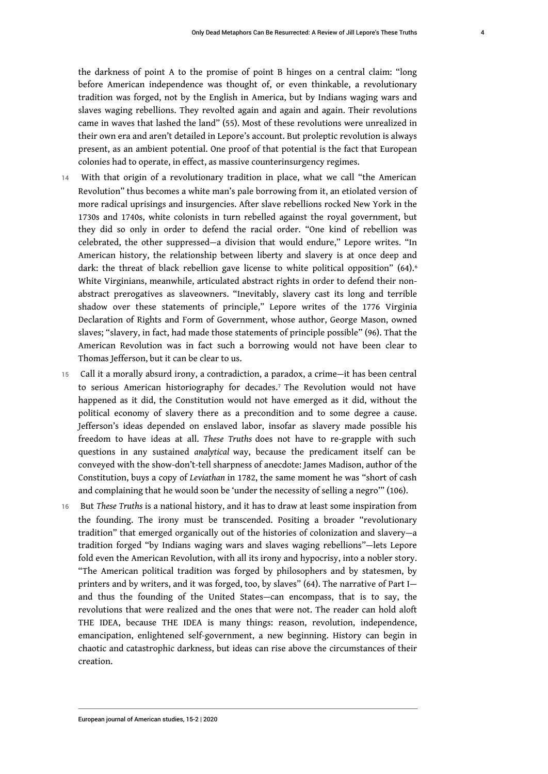the darkness of point A to the promise of point B hinges on a central claim: "long before American independence was thought of, or even thinkable, a revolutionary tradition was forged, not by the English in America, but by Indians waging wars and slaves waging rebellions. They revolted again and again and again. Their revolutions came in waves that lashed the land" (55). Most of these revolutions were unrealized in their own era and aren't detailed in Lepore's account. But proleptic revolution is always present, as an ambient potential. One proof of that potential is the fact that European colonies had to operate, in effect, as massive counterinsurgency regimes.

- <span id="page-5-0"></span>14 With that origin of a revolutionary tradition in place, what we call "the American Revolution" thus becomes a white man's pale borrowing from it, an etiolated version of more radical uprisings and insurgencies. After slave rebellions rocked New York in the 1730s and 1740s, white colonists in turn rebelled against the royal government, but they did so only in order to defend the racial order. "One kind of rebellion was celebrated, the other suppressed—a division that would endure," Lepore writes. "In American history, the relationship between liberty and slavery is at once deep and dark: the threat of black rebellion gave license to white political opposition" ([6](#page-18-4)4).<sup>6</sup> White Virginians, meanwhile, articulated abstract rights in order to defend their nonabstract prerogatives as slaveowners. "Inevitably, slavery cast its long and terrible shadow over these statements of principle," Lepore writes of the 1776 Virginia Declaration of Rights and Form of Government, whose author, George Mason, owned slaves; "slavery, in fact, had made those statements of principle possible" (96). That the American Revolution was in fact such a borrowing would not have been clear to Thomas Jefferson, but it can be clear to us.
- <span id="page-5-1"></span>15 Call it a morally absurd irony, a contradiction, a paradox, a crime—it has been central to serious American historiography for decades.[7](#page-18-5) The Revolution would not have happened as it did, the Constitution would not have emerged as it did, without the political economy of slavery there as a precondition and to some degree a cause. Jefferson's ideas depended on enslaved labor, insofar as slavery made possible his freedom to have ideas at all. *These Truths* does not have to re-grapple with such questions in any sustained *analytical* way, because the predicament itself can be conveyed with the show-don't-tell sharpness of anecdote: James Madison, author of the Constitution, buys a copy of *Leviathan* in 1782, the same moment he was "short of cash and complaining that he would soon be 'under the necessity of selling a negro'" (106).
- 16 But *These Truths* is a national history, and it has to draw at least some inspiration from the founding. The irony must be transcended. Positing a broader "revolutionary tradition" that emerged organically out of the histories of colonization and slavery—a tradition forged "by Indians waging wars and slaves waging rebellions"—lets Lepore fold even the American Revolution, with all its irony and hypocrisy, into a nobler story. "The American political tradition was forged by philosophers and by statesmen, by printers and by writers, and it was forged, too, by slaves" (64). The narrative of Part I and thus the founding of the United States—can encompass, that is to say, the revolutions that were realized and the ones that were not. The reader can hold aloft THE IDEA, because THE IDEA is many things: reason, revolution, independence, emancipation, enlightened self-government, a new beginning. History can begin in chaotic and catastrophic darkness, but ideas can rise above the circumstances of their creation.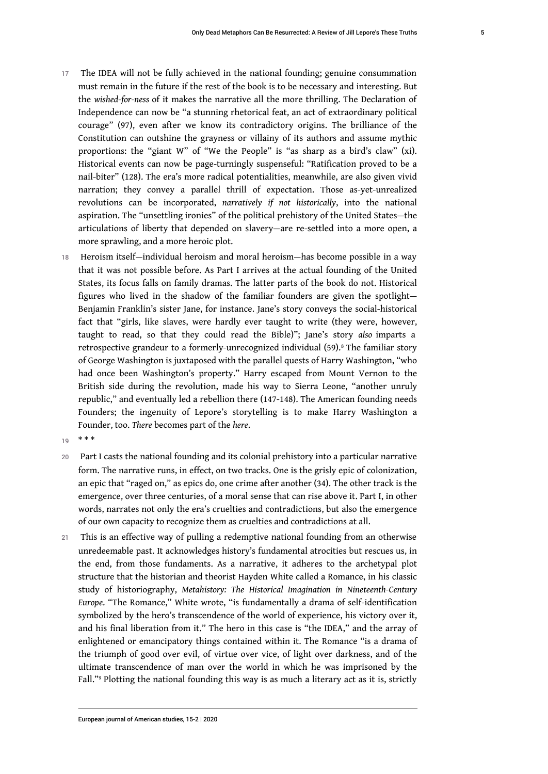- 17 The IDEA will not be fully achieved in the national founding; genuine consummation must remain in the future if the rest of the book is to be necessary and interesting. But the *wished-for-ness* of it makes the narrative all the more thrilling. The Declaration of Independence can now be "a stunning rhetorical feat, an act of extraordinary political courage" (97), even after we know its contradictory origins. The brilliance of the Constitution can outshine the grayness or villainy of its authors and assume mythic proportions: the "giant W" of "We the People" is "as sharp as a bird's claw" (xi). Historical events can now be page-turningly suspenseful: "Ratification proved to be a nail-biter" (128). The era's more radical potentialities, meanwhile, are also given vivid narration; they convey a parallel thrill of expectation. Those as-yet-unrealized revolutions can be incorporated, *narratively if not historically*, into the national aspiration. The "unsettling ironies" of the political prehistory of the United States—the articulations of liberty that depended on slavery—are re-settled into a more open, a more sprawling, and a more heroic plot.
- <span id="page-6-0"></span>18 Heroism itself—individual heroism and moral heroism—has become possible in a way that it was not possible before. As Part I arrives at the actual founding of the United States, its focus falls on family dramas. The latter parts of the book do not. Historical figures who lived in the shadow of the familiar founders are given the spotlight— Benjamin Franklin's sister Jane, for instance. Jane's story conveys the social-historical fact that "girls, like slaves, were hardly ever taught to write (they were, however, taught to read, so that they could read the Bible)"; Jane's story *also* imparts a retrospective grandeur to a formerly-unrecognized individual (59).[8](#page-18-6) The familiar story of George Washington is juxtaposed with the parallel quests of Harry Washington, "who had once been Washington's property." Harry escaped from Mount Vernon to the British side during the revolution, made his way to Sierra Leone, "another unruly republic," and eventually led a rebellion there (147-148). The American founding needs Founders; the ingenuity of Lepore's storytelling is to make Harry Washington a Founder, too. *There* becomes part of the *here*.

 $19$  \* \* \*

- 20 Part I casts the national founding and its colonial prehistory into a particular narrative form. The narrative runs, in effect, on two tracks. One is the grisly epic of colonization, an epic that "raged on," as epics do, one crime after another (34). The other track is the emergence, over three centuries, of a moral sense that can rise above it. Part I, in other words, narrates not only the era's cruelties and contradictions, but also the emergence of our own capacity to recognize them as cruelties and contradictions at all.
- <span id="page-6-1"></span>21 This is an effective way of pulling a redemptive national founding from an otherwise unredeemable past. It acknowledges history's fundamental atrocities but rescues us, in the end, from those fundaments. As a narrative, it adheres to the archetypal plot structure that the historian and theorist Hayden White called a Romance, in his classic study of historiography, *Metahistory: The Historical Imagination in Nineteenth-Century Europe*. "The Romance," White wrote, "is fundamentally a drama of self-identification symbolized by the hero's transcendence of the world of experience, his victory over it, and his final liberation from it." The hero in this case is "the IDEA," and the array of enlightened or emancipatory things contained within it. The Romance "is a drama of the triumph of good over evil, of virtue over vice, of light over darkness, and of the ultimate transcendence of man over the world in which he was imprisoned by the Fall."[9](#page-18-7) Plotting the national founding this way is as much a literary act as it is, strictly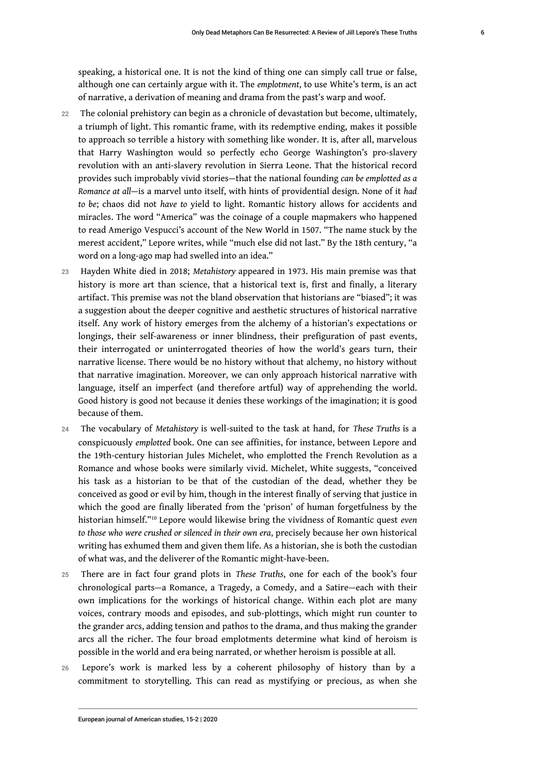speaking, a historical one. It is not the kind of thing one can simply call true or false, although one can certainly argue with it. The *emplotment*, to use White's term, is an act of narrative, a derivation of meaning and drama from the past's warp and woof.

- 22 The colonial prehistory can begin as a chronicle of devastation but become, ultimately, a triumph of light. This romantic frame, with its redemptive ending, makes it possible to approach so terrible a history with something like wonder. It is, after all, marvelous that Harry Washington would so perfectly echo George Washington's pro-slavery revolution with an anti-slavery revolution in Sierra Leone. That the historical record provides such improbably vivid stories—that the national founding *can be emplotted as a Romance at all*—is a marvel unto itself, with hints of providential design. None of it *had to be*; chaos did not *have to* yield to light. Romantic history allows for accidents and miracles. The word "America" was the coinage of a couple mapmakers who happened to read Amerigo Vespucci's account of the New World in 1507. "The name stuck by the merest accident," Lepore writes, while "much else did not last." By the 18th century, "a word on a long-ago map had swelled into an idea."
- <sup>23</sup>Hayden White died in 2018; *Metahistory* appeared in 1973. His main premise was that history is more art than science, that a historical text is, first and finally, a literary artifact. This premise was not the bland observation that historians are "biased"; it was a suggestion about the deeper cognitive and aesthetic structures of historical narrative itself. Any work of history emerges from the alchemy of a historian's expectations or longings, their self-awareness or inner blindness, their prefiguration of past events, their interrogated or uninterrogated theories of how the world's gears turn, their narrative license. There would be no history without that alchemy, no history without that narrative imagination. Moreover, we can only approach historical narrative with language, itself an imperfect (and therefore artful) way of apprehending the world. Good history is good not because it denies these workings of the imagination; it is good because of them.
- <sup>24</sup>The vocabulary of *Metahistory* is well-suited to the task at hand, for *These Truths* is a conspicuously *emplotted* book. One can see affinities, for instance, between Lepore and the 19th-century historian Jules Michelet, who emplotted the French Revolution as a Romance and whose books were similarly vivid. Michelet, White suggests, "conceived his task as a historian to be that of the custodian of the dead, whether they be conceived as good or evil by him, though in the interest finally of serving that justice in which the good are finally liberated from the 'prison' of human forgetfulness by the historian himself."[10](#page-18-8) Lepore would likewise bring the vividness of Romantic quest *even to those who were crushed or silenced in their own era*, precisely because her own historical writing has exhumed them and given them life. As a historian, she is both the custodian of what was, and the deliverer of the Romantic might-have-been.
- <span id="page-7-0"></span><sup>25</sup>There are in fact four grand plots in *These Truths*, one for each of the book's four chronological parts—a Romance, a Tragedy, a Comedy, and a Satire—each with their own implications for the workings of historical change. Within each plot are many voices, contrary moods and episodes, and sub-plottings, which might run counter to the grander arcs, adding tension and pathos to the drama, and thus making the grander arcs all the richer. The four broad emplotments determine what kind of heroism is possible in the world and era being narrated, or whether heroism is possible at all.
- 26 Lepore's work is marked less by a coherent philosophy of history than by a commitment to storytelling. This can read as mystifying or precious, as when she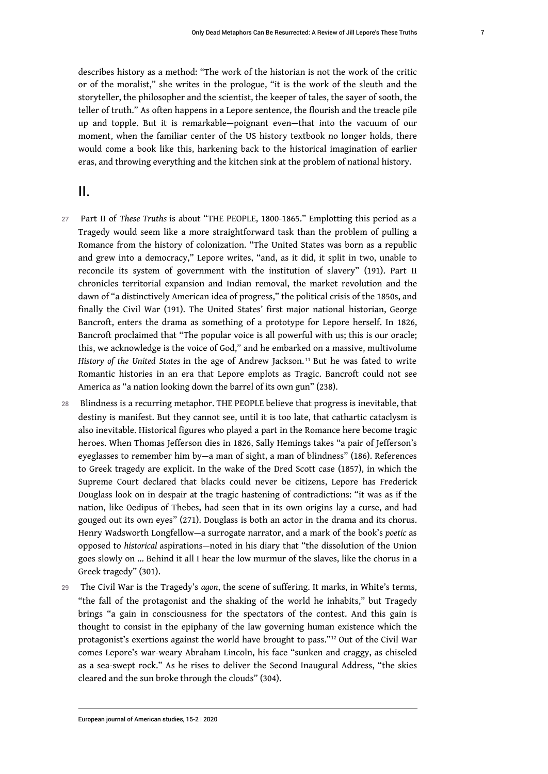describes history as a method: "The work of the historian is not the work of the critic or of the moralist," she writes in the prologue, "it is the work of the sleuth and the storyteller, the philosopher and the scientist, the keeper of tales, the sayer of sooth, the teller of truth." As often happens in a Lepore sentence, the flourish and the treacle pile up and topple. But it is remarkable—poignant even—that into the vacuum of our moment, when the familiar center of the US history textbook no longer holds, there would come a book like this, harkening back to the historical imagination of earlier eras, and throwing everything and the kitchen sink at the problem of national history.

# II.

- 27 Part II of *These Truths* is about "THE PEOPLE, 1800-1865." Emplotting this period as a Tragedy would seem like a more straightforward task than the problem of pulling a Romance from the history of colonization. "The United States was born as a republic and grew into a democracy," Lepore writes, "and, as it did, it split in two, unable to reconcile its system of government with the institution of slavery" (191). Part II chronicles territorial expansion and Indian removal, the market revolution and the dawn of "a distinctively American idea of progress," the political crisis of the 1850s, and finally the Civil War (191). The United States' first major national historian, George Bancroft, enters the drama as something of a prototype for Lepore herself. In 1826, Bancroft proclaimed that "The popular voice is all powerful with us; this is our oracle; this, we acknowledge is the voice of God," and he embarked on a massive, multivolume *History of the United States* in the age of Andrew Jackson. [11](#page-18-9) But he was fated to write Romantic histories in an era that Lepore emplots as Tragic. Bancroft could not see America as "a nation looking down the barrel of its own gun" (238).
- <span id="page-8-0"></span>28 Blindness is a recurring metaphor. THE PEOPLE believe that progress is inevitable, that destiny is manifest. But they cannot see, until it is too late, that cathartic cataclysm is also inevitable. Historical figures who played a part in the Romance here become tragic heroes. When Thomas Jefferson dies in 1826, Sally Hemings takes "a pair of Jefferson's eyeglasses to remember him by—a man of sight, a man of blindness" (186). References to Greek tragedy are explicit. In the wake of the Dred Scott case (1857), in which the Supreme Court declared that blacks could never be citizens, Lepore has Frederick Douglass look on in despair at the tragic hastening of contradictions: "it was as if the nation, like Oedipus of Thebes, had seen that in its own origins lay a curse, and had gouged out its own eyes" (271). Douglass is both an actor in the drama and its chorus. Henry Wadsworth Longfellow—a surrogate narrator, and a mark of the book's *poetic* as opposed to *historical* aspirations—noted in his diary that "the dissolution of the Union goes slowly on … Behind it all I hear the low murmur of the slaves, like the chorus in a Greek tragedy" (301).
- <span id="page-8-1"></span><sup>29</sup>The Civil War is the Tragedy's *agon*, the scene of suffering. It marks, in White's terms, "the fall of the protagonist and the shaking of the world he inhabits," but Tragedy brings "a gain in consciousness for the spectators of the contest. And this gain is thought to consist in the epiphany of the law governing human existence which the protagonist's exertions against the world have brought to pass."[12](#page-18-10) Out of the Civil War comes Lepore's war-weary Abraham Lincoln, his face "sunken and craggy, as chiseled as a sea-swept rock." As he rises to deliver the Second Inaugural Address, "the skies cleared and the sun broke through the clouds" (304).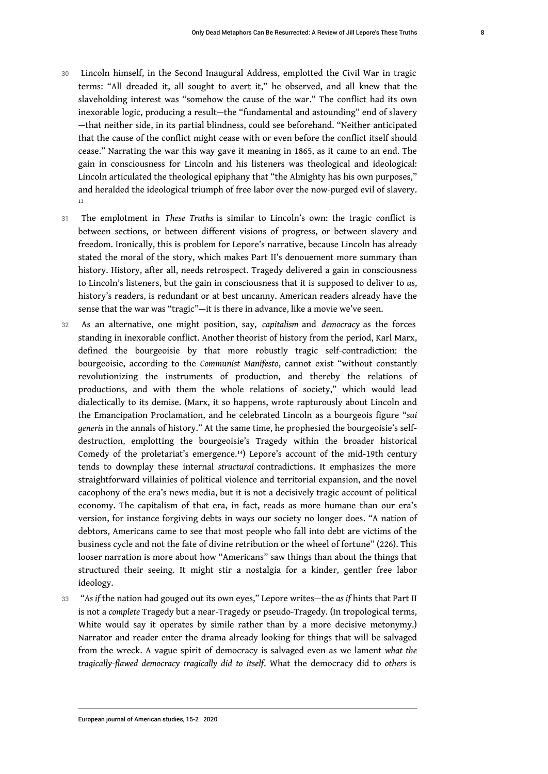- 30 Lincoln himself, in the Second Inaugural Address, emplotted the Civil War in tragic terms: "All dreaded it, all sought to avert it," he observed, and all knew that the slaveholding interest was "somehow the cause of the war." The conflict had its own inexorable logic, producing a result—the "fundamental and astounding" end of slavery —that neither side, in its partial blindness, could see beforehand. "Neither anticipated that the cause of the conflict might cease with or even before the conflict itself should cease." Narrating the war this way gave it meaning in 1865, as it came to an end. The gain in consciousness for Lincoln and his listeners was theological and ideological: Lincoln articulated the theological epiphany that "the Almighty has his own purposes," and heralded the ideological triumph of free labor over the now-purged evil of slavery. [13](#page-18-11)
- <span id="page-9-0"></span><sup>31</sup>The emplotment in *These Truths* is similar to Lincoln's own: the tragic conflict is between sections, or between different visions of progress, or between slavery and freedom. Ironically, this is problem for Lepore's narrative, because Lincoln has already stated the moral of the story, which makes Part II's denouement more summary than history. History, after all, needs retrospect. Tragedy delivered a gain in consciousness to Lincoln's listeners, but the gain in consciousness that it is supposed to deliver to *us*, history's readers, is redundant or at best uncanny. American readers already have the sense that the war was "tragic"—it is there in advance, like a movie we've seen.
- <span id="page-9-1"></span><sup>32</sup>As an alternative, one might position, say, *capitalism* and *democracy* as the forces standing in inexorable conflict. Another theorist of history from the period, Karl Marx, defined the bourgeoisie by that more robustly tragic self-contradiction: the bourgeoisie, according to the *Communist Manifesto*, cannot exist "without constantly revolutionizing the instruments of production, and thereby the relations of productions, and with them the whole relations of society," which would lead dialectically to its demise. (Marx, it so happens, wrote rapturously about Lincoln and the Emancipation Proclamation, and he celebrated Lincoln as a bourgeois figure "*sui generis* in the annals of history." At the same time, he prophesied the bourgeoisie's selfdestruction, emplotting the bourgeoisie's Tragedy within the broader historical Comedy of the proletariat's emergence.[14](#page-18-12)) Lepore's account of the mid-19th century tends to downplay these internal *structural* contradictions. It emphasizes the more straightforward villainies of political violence and territorial expansion, and the novel cacophony of the era's news media, but it is not a decisively tragic account of political economy. The capitalism of that era, in fact, reads as more humane than our era's version, for instance forgiving debts in ways our society no longer does. "A nation of debtors, Americans came to see that most people who fall into debt are victims of the business cycle and not the fate of divine retribution or the wheel of fortune" (226). This looser narration is more about how "Americans" saw things than about the things that structured their seeing. It might stir a nostalgia for a kinder, gentler free labor ideology.
- <sup>33</sup>"*As if* the nation had gouged out its own eyes," Lepore writes—the *as if* hints that Part II is not a *complete* Tragedy but a near-Tragedy or pseudo-Tragedy. (In tropological terms, White would say it operates by simile rather than by a more decisive metonymy.) Narrator and reader enter the drama already looking for things that will be salvaged from the wreck. A vague spirit of democracy is salvaged even as we lament *what the tragically-flawed democracy tragically did to itself*. What the democracy did to *others* is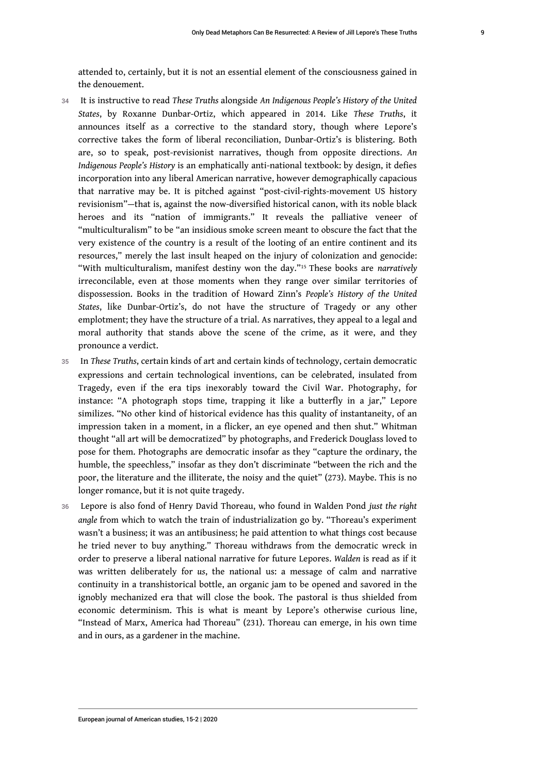attended to, certainly, but it is not an essential element of the consciousness gained in the denouement.

- <sup>34</sup>It is instructive to read *These Truths* alongside *An Indigenous People's History of the United States*, by Roxanne Dunbar-Ortiz, which appeared in 2014. Like *These Truths*, it announces itself as a corrective to the standard story, though where Lepore's corrective takes the form of liberal reconciliation, Dunbar-Ortiz's is blistering. Both are, so to speak, post-revisionist narratives, though from opposite directions. *An Indigenous People's History* is an emphatically anti-national textbook: by design, it defies incorporation into any liberal American narrative, however demographically capacious that narrative may be. It is pitched against "post-civil-rights-movement US history revisionism"—that is, against the now-diversified historical canon, with its noble black heroes and its "nation of immigrants." It reveals the palliative veneer of "multiculturalism" to be "an insidious smoke screen meant to obscure the fact that the very existence of the country is a result of the looting of an entire continent and its resources," merely the last insult heaped on the injury of colonization and genocide: "With multiculturalism, manifest destiny won the day."[15](#page-18-13) These books are *narratively* irreconcilable, even at those moments when they range over similar territories of dispossession. Books in the tradition of Howard Zinn's *People's History of the United States*, like Dunbar-Ortiz's, do not have the structure of Tragedy or any other emplotment; they have the structure of a trial. As narratives, they appeal to a legal and moral authority that stands above the scene of the crime, as it were, and they pronounce a verdict.
- <span id="page-10-0"></span><sup>35</sup>In *These Truths*, certain kinds of art and certain kinds of technology, certain democratic expressions and certain technological inventions, can be celebrated, insulated from Tragedy, even if the era tips inexorably toward the Civil War. Photography, for instance: "A photograph stops time, trapping it like a butterfly in a jar," Lepore similizes. "No other kind of historical evidence has this quality of instantaneity, of an impression taken in a moment, in a flicker, an eye opened and then shut." Whitman thought "all art will be democratized" by photographs, and Frederick Douglass loved to pose for them. Photographs are democratic insofar as they "capture the ordinary, the humble, the speechless," insofar as they don't discriminate "between the rich and the poor, the literature and the illiterate, the noisy and the quiet" (273). Maybe. This is no longer romance, but it is not quite tragedy.
- <sup>36</sup>Lepore is also fond of Henry David Thoreau, who found in Walden Pond *just the right angle* from which to watch the train of industrialization go by. "Thoreau's experiment wasn't a business; it was an antibusiness; he paid attention to what things cost because he tried never to buy anything." Thoreau withdraws from the democratic wreck in order to preserve a liberal national narrative for future Lepores. *Walden* is read as if it was written deliberately for *us*, the national us: a message of calm and narrative continuity in a transhistorical bottle, an organic jam to be opened and savored in the ignobly mechanized era that will close the book. The pastoral is thus shielded from economic determinism. This is what is meant by Lepore's otherwise curious line, "Instead of Marx, America had Thoreau" (231). Thoreau can emerge, in his own time and in ours, as a gardener in the machine.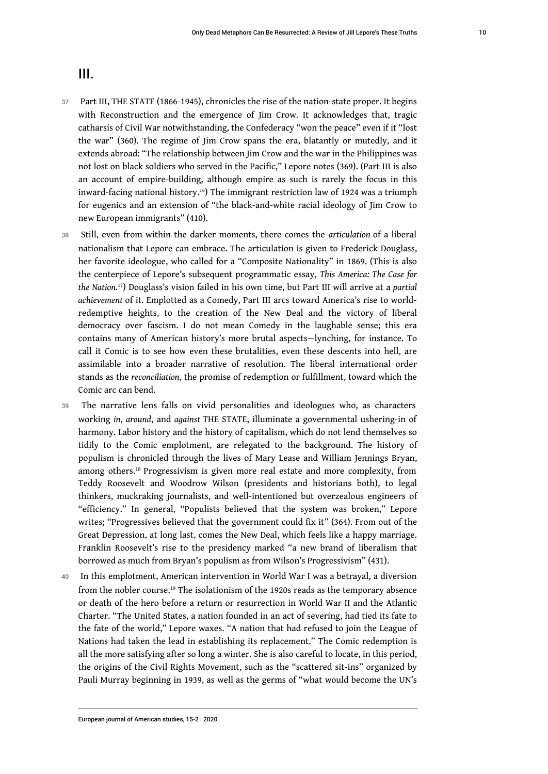# III.

- 37 Part III, THE STATE (1866-1945), chronicles the rise of the nation-state proper. It begins with Reconstruction and the emergence of Jim Crow. It acknowledges that, tragic catharsis of Civil War notwithstanding, the Confederacy "won the peace" even if it "lost the war" (360). The regime of Jim Crow spans the era, blatantly or mutedly, and it extends abroad: "The relationship between Jim Crow and the war in the Philippines was not lost on black soldiers who served in the Pacific," Lepore notes (369). (Part III is also an account of empire-building, although empire as such is rarely the focus in this inward-facing national history.[16](#page-18-14)) The immigrant restriction law of 1924 was a triumph for eugenics and an extension of "the black-and-white racial ideology of Jim Crow to new European immigrants" (410).
- <span id="page-11-1"></span><span id="page-11-0"></span><sup>38</sup>Still, even from within the darker moments, there comes the *articulation* of a liberal nationalism that Lepore can embrace. The articulation is given to Frederick Douglass, her favorite ideologue, who called for a "Composite Nationality" in 1869. (This is also the centerpiece of Lepore's subsequent programmatic essay, *This America: The Case for the Nation.*[17](#page-19-0)) Douglass's vision failed in his own time, but Part III will arrive at a *partial achievement* of it. Emplotted as a Comedy, Part III arcs toward America's rise to worldredemptive heights, to the creation of the New Deal and the victory of liberal democracy over fascism. I do not mean Comedy in the laughable sense; this era contains many of American history's more brutal aspects—lynching, for instance. To call it Comic is to see how even these brutalities, even these descents into hell, are assimilable into a broader narrative of resolution. The liberal international order stands as the *reconciliation*, the promise of redemption or fulfillment, toward which the Comic arc can bend.
- <span id="page-11-2"></span>39 The narrative lens falls on vivid personalities and ideologues who, as characters working *in*, *around*, and *against* THE STATE, illuminate a governmental ushering-in of harmony. Labor history and the history of capitalism, which do not lend themselves so tidily to the Comic emplotment, are relegated to the background. The history of populism is chronicled through the lives of Mary Lease and William Jennings Bryan, among others.<sup>[18](#page-19-1)</sup> Progressivism is given more real estate and more complexity, from Teddy Roosevelt and Woodrow Wilson (presidents and historians both), to legal thinkers, muckraking journalists, and well-intentioned but overzealous engineers of "efficiency." In general, "Populists believed that the system was broken," Lepore writes; "Progressives believed that the government could fix it" (364). From out of the Great Depression, at long last, comes the New Deal, which feels like a happy marriage. Franklin Roosevelt's rise to the presidency marked "a new brand of liberalism that borrowed as much from Bryan's populism as from Wilson's Progressivism" (431).
- <span id="page-11-3"></span>40 In this emplotment, American intervention in World War I was a betrayal, a diversion from the nobler course.[19](#page-19-2) The isolationism of the 1920s reads as the temporary absence or death of the hero before a return or resurrection in World War II and the Atlantic Charter. "The United States, a nation founded in an act of severing, had tied its fate to the fate of the world," Lepore waxes. "A nation that had refused to join the League of Nations had taken the lead in establishing its replacement." The Comic redemption is all the more satisfying after so long a winter. She is also careful to locate, in this period, the origins of the Civil Rights Movement, such as the "scattered sit-ins" organized by Pauli Murray beginning in 1939, as well as the germs of "what would become the UN's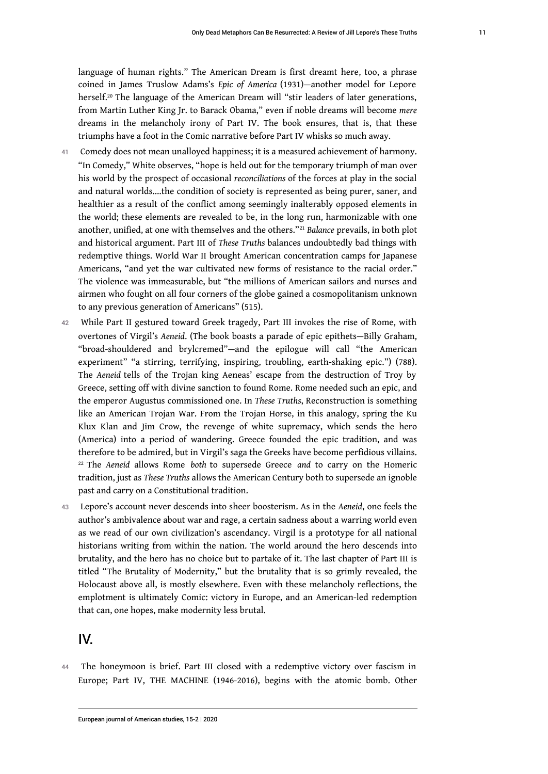<span id="page-12-0"></span>language of human rights." The American Dream is first dreamt here, too, a phrase coined in James Truslow Adams's *Epic of America* (1931)—another model for Lepore herself.<sup>[20](#page-19-3)</sup> The language of the American Dream will "stir leaders of later generations, from Martin Luther King Jr. to Barack Obama," even if noble dreams will become *mere* dreams in the melancholy irony of Part IV. The book ensures, that is, that these triumphs have a foot in the Comic narrative before Part IV whisks so much away.

- <span id="page-12-1"></span>41 Comedy does not mean unalloyed happiness; it is a measured achievement of harmony. "In Comedy," White observes, "hope is held out for the temporary triumph of man over his world by the prospect of occasional *reconciliations* of the forces at play in the social and natural worlds….the condition of society is represented as being purer, saner, and healthier as a result of the conflict among seemingly inalterably opposed elements in the world; these elements are revealed to be, in the long run, harmonizable with one another, unified, at one with themselves and the others."[21](#page-19-4) *Balance* prevails, in both plot and historical argument. Part III of *These Truths* balances undoubtedly bad things with redemptive things. World War II brought American concentration camps for Japanese Americans, "and yet the war cultivated new forms of resistance to the racial order." The violence was immeasurable, but "the millions of American sailors and nurses and airmen who fought on all four corners of the globe gained a cosmopolitanism unknown to any previous generation of Americans" (515).
- 42 While Part II gestured toward Greek tragedy, Part III invokes the rise of Rome, with overtones of Virgil's *Aeneid*. (The book boasts a parade of epic epithets—Billy Graham, "broad-shouldered and brylcremed"—and the epilogue will call "the American experiment" "a stirring, terrifying, inspiring, troubling, earth-shaking epic.") (788). The *Aeneid* tells of the Trojan king Aeneas' escape from the destruction of Troy by Greece, setting off with divine sanction to found Rome. Rome needed such an epic, and the emperor Augustus commissioned one. In *These Truths*, Reconstruction is something like an American Trojan War. From the Trojan Horse, in this analogy, spring the Ku Klux Klan and Jim Crow, the revenge of white supremacy, which sends the hero (America) into a period of wandering. Greece founded the epic tradition, and was therefore to be admired, but in Virgil's saga the Greeks have become perfidious villains. [22](#page-19-5) The *Aeneid* allows Rome *both* to supersede Greece *and* to carry on the Homeric tradition, just as *These Truths* allows the American Century both to supersede an ignoble past and carry on a Constitutional tradition.
- <span id="page-12-2"></span><sup>43</sup>Lepore's account never descends into sheer boosterism. As in the *Aeneid*, one feels the author's ambivalence about war and rage, a certain sadness about a warring world even as we read of our own civilization's ascendancy. Virgil is a prototype for all national historians writing from within the nation. The world around the hero descends into brutality, and the hero has no choice but to partake of it. The last chapter of Part III is titled "The Brutality of Modernity," but the brutality that is so grimly revealed, the Holocaust above all, is mostly elsewhere. Even with these melancholy reflections, the emplotment is ultimately Comic: victory in Europe, and an American-led redemption that can, one hopes, make modernity less brutal.

## IV.

44 The honeymoon is brief. Part III closed with a redemptive victory over fascism in Europe; Part IV, THE MACHINE (1946-2016), begins with the atomic bomb. Other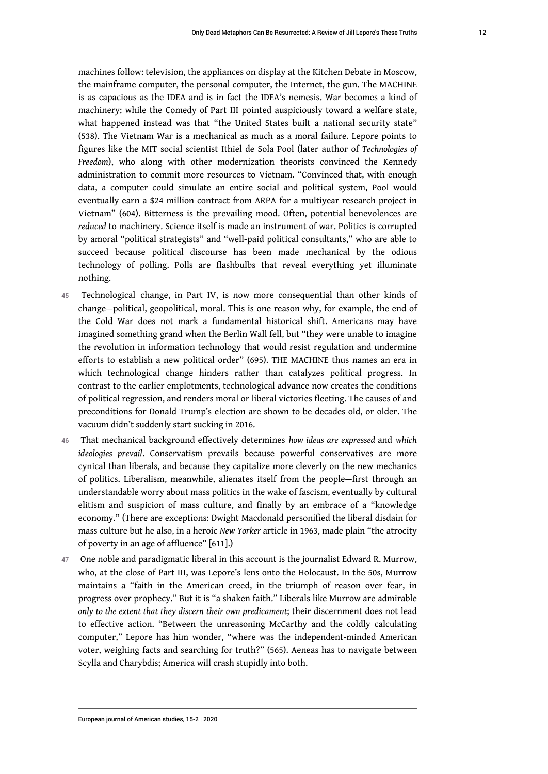machines follow: television, the appliances on display at the Kitchen Debate in Moscow, the mainframe computer, the personal computer, the Internet, the gun. The MACHINE is as capacious as the IDEA and is in fact the IDEA's nemesis. War becomes a kind of machinery: while the Comedy of Part III pointed auspiciously toward a welfare state, what happened instead was that "the United States built a national security state" (538). The Vietnam War is a mechanical as much as a moral failure. Lepore points to figures like the MIT social scientist Ithiel de Sola Pool (later author of *Technologies of Freedom*), who along with other modernization theorists convinced the Kennedy administration to commit more resources to Vietnam. "Convinced that, with enough data, a computer could simulate an entire social and political system, Pool would eventually earn a \$24 million contract from ARPA for a multiyear research project in Vietnam" (604). Bitterness is the prevailing mood. Often, potential benevolences are *reduced* to machinery. Science itself is made an instrument of war. Politics is corrupted by amoral "political strategists" and "well-paid political consultants," who are able to succeed because political discourse has been made mechanical by the odious technology of polling. Polls are flashbulbs that reveal everything yet illuminate nothing.

- 45 Technological change, in Part IV, is now more consequential than other kinds of change—political, geopolitical, moral. This is one reason why, for example, the end of the Cold War does not mark a fundamental historical shift. Americans may have imagined something grand when the Berlin Wall fell, but "they were unable to imagine the revolution in information technology that would resist regulation and undermine efforts to establish a new political order" (695). THE MACHINE thus names an era in which technological change hinders rather than catalyzes political progress. In contrast to the earlier emplotments, technological advance now creates the conditions of political regression, and renders moral or liberal victories fleeting. The causes of and preconditions for Donald Trump's election are shown to be decades old, or older. The vacuum didn't suddenly start sucking in 2016.
- <sup>46</sup>That mechanical background effectively determines *how ideas are expressed* and *which ideologies prevail*. Conservatism prevails because powerful conservatives are more cynical than liberals, and because they capitalize more cleverly on the new mechanics of politics. Liberalism, meanwhile, alienates itself from the people—first through an understandable worry about mass politics in the wake of fascism, eventually by cultural elitism and suspicion of mass culture, and finally by an embrace of a "knowledge economy." (There are exceptions: Dwight Macdonald personified the liberal disdain for mass culture but he also, in a heroic *New Yorker* article in 1963, made plain "the atrocity of poverty in an age of affluence" [611].)
- 47 One noble and paradigmatic liberal in this account is the journalist Edward R. Murrow, who, at the close of Part III, was Lepore's lens onto the Holocaust. In the 50s, Murrow maintains a "faith in the American creed, in the triumph of reason over fear, in progress over prophecy." But it is "a shaken faith." Liberals like Murrow are admirable *only to the extent that they discern their own predicament*; their discernment does not lead to effective action. "Between the unreasoning McCarthy and the coldly calculating computer," Lepore has him wonder, "where was the independent-minded American voter, weighing facts and searching for truth?" (565). Aeneas has to navigate between Scylla and Charybdis; America will crash stupidly into both.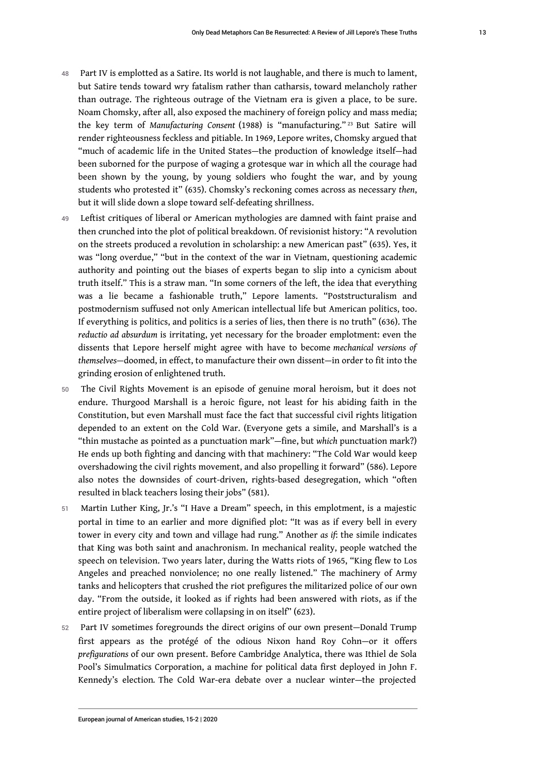- <span id="page-14-0"></span>48 Part IV is emplotted as a Satire. Its world is not laughable, and there is much to lament, but Satire tends toward wry fatalism rather than catharsis, toward melancholy rather than outrage. The righteous outrage of the Vietnam era is given a place, to be sure. Noam Chomsky, after all, also exposed the machinery of foreign policy and mass media; the key term of *Manufacturing Consent* (1988) is "manufacturing." [23](#page-19-6) But Satire will render righteousness feckless and pitiable. In 1969, Lepore writes, Chomsky argued that "much of academic life in the United States—the production of knowledge itself—had been suborned for the purpose of waging a grotesque war in which all the courage had been shown by the young, by young soldiers who fought the war, and by young students who protested it" (635). Chomsky's reckoning comes across as necessary *then*, but it will slide down a slope toward self-defeating shrillness.
- 49 Leftist critiques of liberal or American mythologies are damned with faint praise and then crunched into the plot of political breakdown. Of revisionist history: "A revolution on the streets produced a revolution in scholarship: a new American past" (635). Yes, it was "long overdue," "but in the context of the war in Vietnam, questioning academic authority and pointing out the biases of experts began to slip into a cynicism about truth itself." This is a straw man. "In some corners of the left, the idea that everything was a lie became a fashionable truth," Lepore laments. "Poststructuralism and postmodernism suffused not only American intellectual life but American politics, too. If everything is politics, and politics is a series of lies, then there is no truth" (636). The *reductio ad absurdum* is irritating, yet necessary for the broader emplotment: even the dissents that Lepore herself might agree with have to become *mechanical versions of themselves*—doomed, in effect, to manufacture their own dissent—in order to fit into the grinding erosion of enlightened truth.
- 50 The Civil Rights Movement is an episode of genuine moral heroism, but it does not endure. Thurgood Marshall is a heroic figure, not least for his abiding faith in the Constitution, but even Marshall must face the fact that successful civil rights litigation depended to an extent on the Cold War. (Everyone gets a simile, and Marshall's is a "thin mustache as pointed as a punctuation mark"—fine, but *which* punctuation mark?) He ends up both fighting and dancing with that machinery: "The Cold War would keep overshadowing the civil rights movement, and also propelling it forward" (586). Lepore also notes the downsides of court-driven, rights-based desegregation, which "often resulted in black teachers losing their jobs" (581).
- 51 Martin Luther King, Jr.'s "I Have a Dream" speech, in this emplotment, is a majestic portal in time to an earlier and more dignified plot: "It was as if every bell in every tower in every city and town and village had rung." Another *as if*: the simile indicates that King was both saint and anachronism. In mechanical reality, people watched the speech on television. Two years later, during the Watts riots of 1965, "King flew to Los Angeles and preached nonviolence; no one really listened." The machinery of Army tanks and helicopters that crushed the riot prefigures the militarized police of our own day. "From the outside, it looked as if rights had been answered with riots, as if the entire project of liberalism were collapsing in on itself" (623).
- 52 Part IV sometimes foregrounds the direct origins of our own present—Donald Trump first appears as the protégé of the odious Nixon hand Roy Cohn—or it offers *prefigurations* of our own present. Before Cambridge Analytica, there was Ithiel de Sola Pool's Simulmatics Corporation, a machine for political data first deployed in John F. Kennedy's election*.* The Cold War-era debate over a nuclear winter—the projected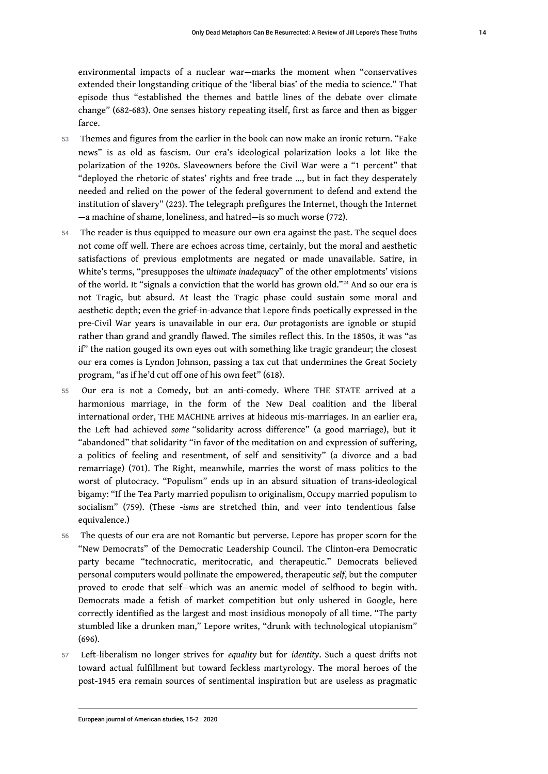environmental impacts of a nuclear war—marks the moment when "conservatives extended their longstanding critique of the 'liberal bias' of the media to science." That episode thus "established the themes and battle lines of the debate over climate change" (682-683). One senses history repeating itself, first as farce and then as bigger farce.

- 53 Themes and figures from the earlier in the book can now make an ironic return. "Fake news" is as old as fascism. Our era's ideological polarization looks a lot like the polarization of the 1920s. Slaveowners before the Civil War were a "1 percent" that "deployed the rhetoric of states' rights and free trade …, but in fact they desperately needed and relied on the power of the federal government to defend and extend the institution of slavery" (223). The telegraph prefigures the Internet, though the Internet —a machine of shame, loneliness, and hatred—is so much worse (772).
- <span id="page-15-0"></span>54 The reader is thus equipped to measure our own era against the past. The sequel does not come off well. There are echoes across time, certainly, but the moral and aesthetic satisfactions of previous emplotments are negated or made unavailable. Satire, in White's terms, "presupposes the *ultimate inadequacy*" of the other emplotments' visions of the world. It "signals a conviction that the world has grown old." [24](#page-19-7) And so our era is not Tragic, but absurd. At least the Tragic phase could sustain some moral and aesthetic depth; even the grief-in-advance that Lepore finds poetically expressed in the pre-Civil War years is unavailable in our era. *Our* protagonists are ignoble or stupid rather than grand and grandly flawed. The similes reflect this. In the 1850s, it was "as if" the nation gouged its own eyes out with something like tragic grandeur; the closest our era comes is Lyndon Johnson, passing a tax cut that undermines the Great Society program, "as if he'd cut off one of his own feet" (618).
- 55 Our era is not a Comedy, but an anti-comedy. Where THE STATE arrived at a harmonious marriage, in the form of the New Deal coalition and the liberal international order, THE MACHINE arrives at hideous mis-marriages. In an earlier era, the Left had achieved *some* "solidarity across difference" (a good marriage), but it "abandoned" that solidarity "in favor of the meditation on and expression of suffering, a politics of feeling and resentment, of self and sensitivity" (a divorce and a bad remarriage) (701). The Right, meanwhile, marries the worst of mass politics to the worst of plutocracy. "Populism" ends up in an absurd situation of trans-ideological bigamy: "If the Tea Party married populism to originalism, Occupy married populism to socialism" (759). (These -*isms* are stretched thin, and veer into tendentious false equivalence.)
- 56 The quests of our era are not Romantic but perverse. Lepore has proper scorn for the "New Democrats" of the Democratic Leadership Council. The Clinton-era Democratic party became "technocratic, meritocratic, and therapeutic." Democrats believed personal computers would pollinate the empowered, therapeutic *self*, but the computer proved to erode that self—which was an anemic model of selfhood to begin with. Democrats made a fetish of market competition but only ushered in Google, here correctly identified as the largest and most insidious monopoly of all time. "The party stumbled like a drunken man," Lepore writes, "drunk with technological utopianism" (696).
- <sup>57</sup>Left-liberalism no longer strives for *equality* but for *identity*. Such a quest drifts not toward actual fulfillment but toward feckless martyrology. The moral heroes of the post-1945 era remain sources of sentimental inspiration but are useless as pragmatic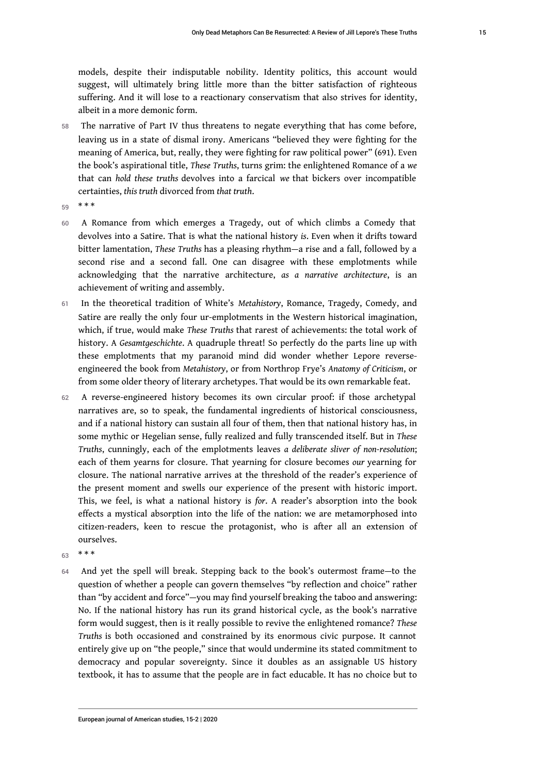models, despite their indisputable nobility. Identity politics, this account would suggest, will ultimately bring little more than the bitter satisfaction of righteous suffering. And it will lose to a reactionary conservatism that also strives for identity, albeit in a more demonic form.

- 58 The narrative of Part IV thus threatens to negate everything that has come before, leaving us in a state of dismal irony. Americans "believed they were fighting for the meaning of America, but, really, they were fighting for raw political power" (691). Even the book's aspirational title, *These Truths*, turns grim: the enlightened Romance of a *we* that can *hold these truths* devolves into a farcical *we* that bickers over incompatible certainties, *this truth* divorced from *that truth*.
- 59 \* \* \*
- 60 A Romance from which emerges a Tragedy, out of which climbs a Comedy that devolves into a Satire. That is what the national history *is*. Even when it drifts toward bitter lamentation, *These Truths* has a pleasing rhythm—a rise and a fall, followed by a second rise and a second fall. One can disagree with these emplotments while acknowledging that the narrative architecture, *as a narrative architecture*, is an achievement of writing and assembly.
- 61 In the theoretical tradition of White's *Metahistory*, Romance, Tragedy, Comedy, and Satire are really the only four ur-emplotments in the Western historical imagination, which, if true, would make *These Truths* that rarest of achievements: the total work of history. A *Gesamtgeschichte*. A quadruple threat! So perfectly do the parts line up with these emplotments that my paranoid mind did wonder whether Lepore reverseengineered the book from *Metahistory*, or from Northrop Frye's *Anatomy of Criticism*, or from some older theory of literary archetypes. That would be its own remarkable feat.
- 62 A reverse-engineered history becomes its own circular proof: if those archetypal narratives are, so to speak, the fundamental ingredients of historical consciousness, and if a national history can sustain all four of them, then that national history has, in some mythic or Hegelian sense, fully realized and fully transcended itself. But in *These Truths*, cunningly, each of the emplotments leaves *a deliberate sliver of non-resolution*; each of them yearns for closure. That yearning for closure becomes *our* yearning for closure. The national narrative arrives at the threshold of the reader's experience of the present moment and swells our experience of the present with historic import. This, we feel, is what a national history is *for*. A reader's absorption into the book effects a mystical absorption into the life of the nation: we are metamorphosed into citizen-readers, keen to rescue the protagonist, who is after all an extension of ourselves.
- $63$  \* \* \*
- 64 And yet the spell will break. Stepping back to the book's outermost frame—to the question of whether a people can govern themselves "by reflection and choice" rather than "by accident and force"—you may find yourself breaking the taboo and answering: No. If the national history has run its grand historical cycle, as the book's narrative form would suggest, then is it really possible to revive the enlightened romance? *These Truths* is both occasioned and constrained by its enormous civic purpose. It cannot entirely give up on "the people," since that would undermine its stated commitment to democracy and popular sovereignty. Since it doubles as an assignable US history textbook, it has to assume that the people are in fact educable. It has no choice but to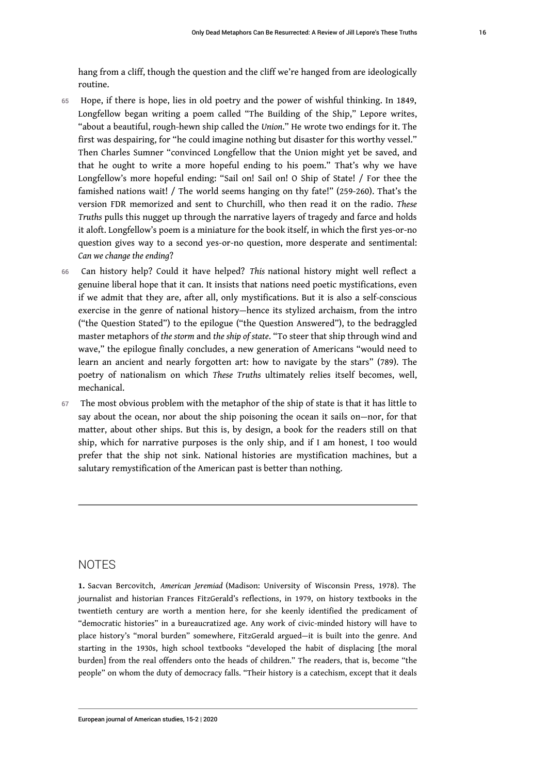hang from a cliff, though the question and the cliff we're hanged from are ideologically routine.

- 65 Hope, if there is hope, lies in old poetry and the power of wishful thinking. In 1849, Longfellow began writing a poem called "The Building of the Ship," Lepore writes, "about a beautiful, rough-hewn ship called the *Union*." He wrote two endings for it. The first was despairing, for "he could imagine nothing but disaster for this worthy vessel." Then Charles Sumner "convinced Longfellow that the Union might yet be saved, and that he ought to write a more hopeful ending to his poem." That's why we have Longfellow's more hopeful ending: "Sail on! Sail on! O Ship of State! / For thee the famished nations wait! / The world seems hanging on thy fate!" (259-260). That's the version FDR memorized and sent to Churchill, who then read it on the radio. *These Truths* pulls this nugget up through the narrative layers of tragedy and farce and holds it aloft. Longfellow's poem is a miniature for the book itself, in which the first yes-or-no question gives way to a second yes-or-no question, more desperate and sentimental: *Can we change the ending*?
- <sup>66</sup>Can history help? Could it have helped? *This* national history might well reflect a genuine liberal hope that it can. It insists that nations need poetic mystifications, even if we admit that they are, after all, only mystifications. But it is also a self-conscious exercise in the genre of national history—hence its stylized archaism, from the intro ("the Question Stated") to the epilogue ("the Question Answered"), to the bedraggled master metaphors of *the storm* and *the ship of state*. "To steer that ship through wind and wave," the epilogue finally concludes, a new generation of Americans "would need to learn an ancient and nearly forgotten art: how to navigate by the stars" (789). The poetry of nationalism on which *These Truths* ultimately relies itself becomes, well, mechanical.
- 67 The most obvious problem with the metaphor of the ship of state is that it has little to say about the ocean, nor about the ship poisoning the ocean it sails on—nor, for that matter, about other ships. But this is, by design, a book for the readers still on that ship, which for narrative purposes is the only ship, and if I am honest, I too would prefer that the ship not sink. National histories are mystification machines, but a salutary remystification of the American past is better than nothing.

## NOTES

<span id="page-17-0"></span>**[1.](#page-2-0)** Sacvan Bercovitch, *American Jeremiad* (Madison: University of Wisconsin Press, 1978). The journalist and historian Frances FitzGerald's reflections, in 1979, on history textbooks in the twentieth century are worth a mention here, for she keenly identified the predicament of "democratic histories" in a bureaucratized age. Any work of civic-minded history will have to place history's "moral burden" somewhere, FitzGerald argued—it is built into the genre. And starting in the 1930s, high school textbooks "developed the habit of displacing [the moral burden] from the real offenders onto the heads of children." The readers, that is, become "the people" on whom the duty of democracy falls. "Their history is a catechism, except that it deals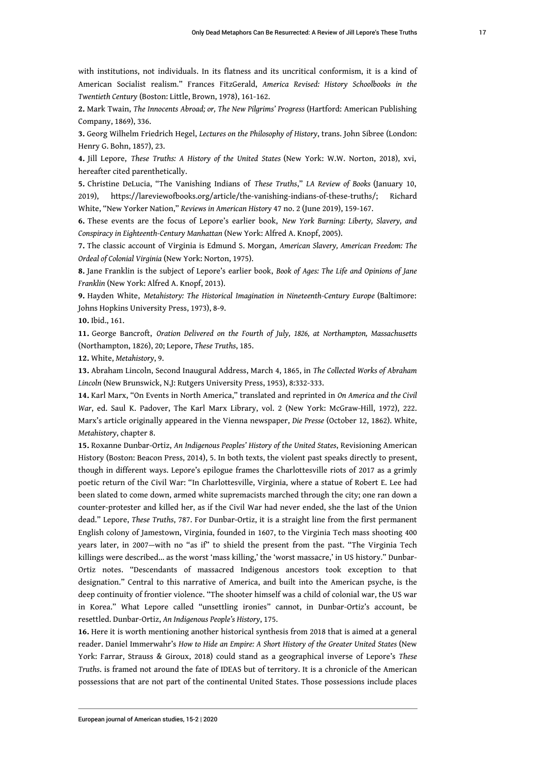with institutions, not individuals. In its flatness and its uncritical conformism, it is a kind of American Socialist realism." Frances FitzGerald, *America Revised: History Schoolbooks in the Twentieth Century* (Boston: Little, Brown, 1978), 161-162.

<span id="page-18-0"></span>**[2.](#page-3-0)** Mark Twain, *The Innocents Abroad; or, The New Pilgrims' Progress* (Hartford: American Publishing Company, 1869), 336.

<span id="page-18-1"></span>**[3.](#page-3-1)** Georg Wilhelm Friedrich Hegel, *Lectures on the Philosophy of History*, trans. John Sibree (London: Henry G. Bohn, 1857), 23.

<span id="page-18-2"></span>**[4.](#page-3-2)** Jill Lepore, *These Truths: A History of the United States* (New York: W.W. Norton, 2018), xvi, hereafter cited parenthetically.

<span id="page-18-3"></span>**[5.](#page-4-0)** Christine DeLucia, "The Vanishing Indians of *These Truths*," *LA Review of Books* (January 10, 2019), https://lareviewofbooks.org/article/the-vanishing-indians-of-these-truths/; Richard White, "New Yorker Nation," *Reviews in American History* 47 no. 2 (June 2019), 159-167.

<span id="page-18-4"></span>**[6.](#page-5-0)** These events are the focus of Lepore's earlier book, *New York Burning: Liberty, Slavery, and Conspiracy in Eighteenth-Century Manhattan* (New York: Alfred A. Knopf, 2005).

<span id="page-18-5"></span>**[7.](#page-5-1)** The classic account of Virginia is Edmund S. Morgan, *American Slavery, American Freedom: The Ordeal of Colonial Virginia* (New York: Norton, 1975).

<span id="page-18-6"></span>**[8.](#page-6-0)** Jane Franklin is the subject of Lepore's earlier book, *Book of Ages: The Life and Opinions of Jane Franklin* (New York: Alfred A. Knopf, 2013).

<span id="page-18-7"></span>**[9.](#page-6-1)** Hayden White, *Metahistory: The Historical Imagination in Nineteenth-Century Europe* (Baltimore: Johns Hopkins University Press, 1973), 8-9.

<span id="page-18-8"></span>**[10.](#page-7-0)** Ibid., 161.

<span id="page-18-9"></span>**[11.](#page-8-0)** George Bancroft, *Oration Delivered on the Fourth of July, 1826, at Northampton, Massachusetts* (Northampton, 1826), 20; Lepore, *These Truths*, 185.

<span id="page-18-10"></span>**[12.](#page-8-1)** White, *Metahistory*, 9.

<span id="page-18-11"></span>**[13.](#page-9-0)** Abraham Lincoln, Second Inaugural Address, March 4, 1865, in *The Collected Works of Abraham Lincoln* (New Brunswick, N.J: Rutgers University Press, 1953), 8:332-333.

<span id="page-18-12"></span>**[14.](#page-9-1)** Karl Marx, "On Events in North America," translated and reprinted in *On America and the Civil War*, ed. Saul K. Padover, The Karl Marx Library, vol. 2 (New York: McGraw-Hill, 1972), 222. Marx's article originally appeared in the Vienna newspaper, *Die Presse* (October 12, 1862). White, *Metahistory*, chapter 8.

<span id="page-18-13"></span>**[15.](#page-10-0)** Roxanne Dunbar-Ortiz, *An Indigenous Peoples' History of the United States*, Revisioning American History (Boston: Beacon Press, 2014), 5. In both texts, the violent past speaks directly to present, though in different ways. Lepore's epilogue frames the Charlottesville riots of 2017 as a grimly poetic return of the Civil War: "In Charlottesville, Virginia, where a statue of Robert E. Lee had been slated to come down, armed white supremacists marched through the city; one ran down a counter-protester and killed her, as if the Civil War had never ended, she the last of the Union dead." Lepore, *These Truths*, 787. For Dunbar-Ortiz, it is a straight line from the first permanent English colony of Jamestown, Virginia, founded in 1607, to the Virginia Tech mass shooting 400 years later, in 2007—with no "as if" to shield the present from the past. "The Virginia Tech killings were described... as the worst 'mass killing,' the 'worst massacre,' in US history." Dunbar-Ortiz notes. "Descendants of massacred Indigenous ancestors took exception to that designation." Central to this narrative of America, and built into the American psyche, is the deep continuity of frontier violence. "The shooter himself was a child of colonial war, the US war in Korea." What Lepore called "unsettling ironies" cannot, in Dunbar-Ortiz's account, be resettled. Dunbar-Ortiz, *An Indigenous People's History*, 175.

<span id="page-18-14"></span>**[16.](#page-11-0)** Here it is worth mentioning another historical synthesis from 2018 that is aimed at a general reader. Daniel Immerwahr's *How to Hide an Empire: A Short History of the Greater United States* (New York: Farrar, Strauss & Giroux, 2018) could stand as a geographical inverse of Lepore's *These Truths*. is framed not around the fate of IDEAS but of territory. It is a chronicle of the American possessions that are not part of the continental United States. Those possessions include places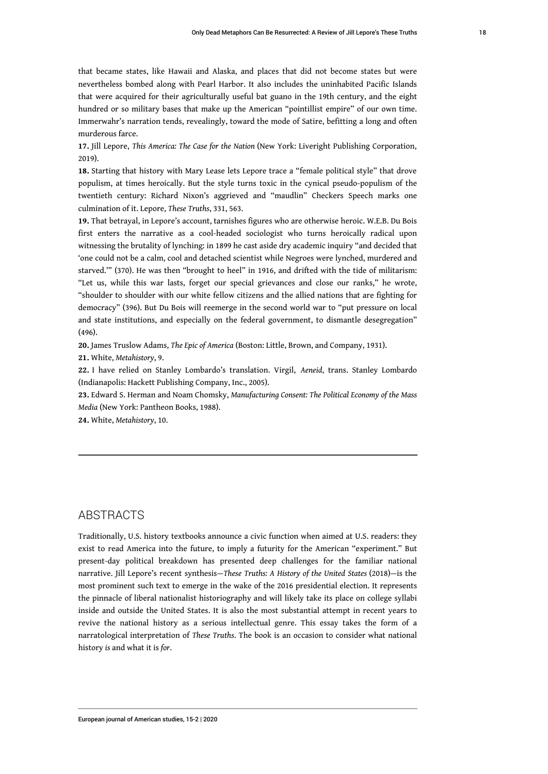that became states, like Hawaii and Alaska, and places that did not become states but were nevertheless bombed along with Pearl Harbor. It also includes the uninhabited Pacific Islands that were acquired for their agriculturally useful bat guano in the 19th century, and the eight hundred or so military bases that make up the American "pointillist empire" of our own time. Immerwahr's narration tends, revealingly, toward the mode of Satire, befitting a long and often murderous farce.

<span id="page-19-0"></span>**[17.](#page-11-1)** Jill Lepore, *This America: The Case for the Nation* (New York: Liveright Publishing Corporation, 2019).

<span id="page-19-1"></span>**[18.](#page-11-2)** Starting that history with Mary Lease lets Lepore trace a "female political style" that drove populism, at times heroically. But the style turns toxic in the cynical pseudo-populism of the twentieth century: Richard Nixon's aggrieved and "maudlin" Checkers Speech marks one culmination of it. Lepore, *These Truths*, 331, 563.

<span id="page-19-2"></span>**[19.](#page-11-3)** That betrayal, in Lepore's account, tarnishes figures who are otherwise heroic. W.E.B. Du Bois first enters the narrative as a cool-headed sociologist who turns heroically radical upon witnessing the brutality of lynching: in 1899 he cast aside dry academic inquiry "and decided that 'one could not be a calm, cool and detached scientist while Negroes were lynched, murdered and starved.'" (370). He was then "brought to heel" in 1916, and drifted with the tide of militarism: "Let us, while this war lasts, forget our special grievances and close our ranks," he wrote, "shoulder to shoulder with our white fellow citizens and the allied nations that are fighting for democracy" (396). But Du Bois will reemerge in the second world war to "put pressure on local and state institutions, and especially on the federal government, to dismantle desegregation" (496).

<span id="page-19-3"></span>**[20.](#page-12-0)** James Truslow Adams, *The Epic of America* (Boston: Little, Brown, and Company, 1931).

<span id="page-19-4"></span>**[21.](#page-12-1)** White, *Metahistory*, 9.

<span id="page-19-5"></span>**[22.](#page-12-2)** I have relied on Stanley Lombardo's translation. Virgil, *Aeneid*, trans. Stanley Lombardo (Indianapolis: Hackett Publishing Company, Inc., 2005).

<span id="page-19-6"></span>**[23.](#page-14-0)** Edward S. Herman and Noam Chomsky, *Manufacturing Consent: The Political Economy of the Mass Media* (New York: Pantheon Books, 1988).

<span id="page-19-7"></span>**[24.](#page-15-0)** White, *Metahistory*, 10.

## ABSTRACTS

Traditionally, U.S. history textbooks announce a civic function when aimed at U.S. readers: they exist to read America into the future, to imply a futurity for the American "experiment." But present-day political breakdown has presented deep challenges for the familiar national narrative. Jill Lepore's recent synthesis—*These Truths: A History of the United States* (2018)—is the most prominent such text to emerge in the wake of the 2016 presidential election. It represents the pinnacle of liberal nationalist historiography and will likely take its place on college syllabi inside and outside the United States. It is also the most substantial attempt in recent years to revive the national history as a serious intellectual genre. This essay takes the form of a narratological interpretation of *These Truths*. The book is an occasion to consider what national history *is* and what it is *for*.